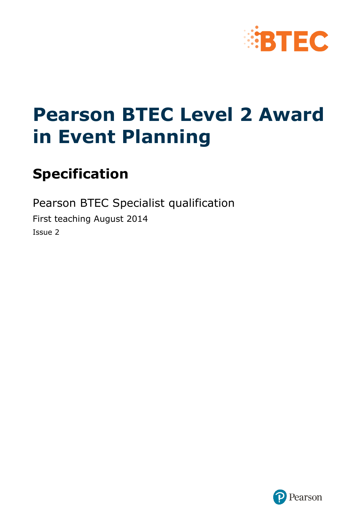

# **Pearson BTEC Level 2 Award in Event Planning**

# **Specification**

Pearson BTEC Specialist qualification First teaching August 2014 Issue 2

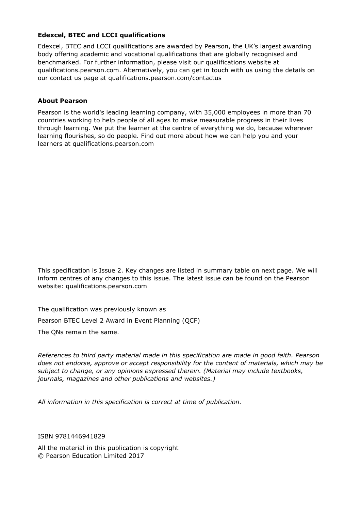#### **Edexcel, BTEC and LCCI qualifications**

Edexcel, BTEC and LCCI qualifications are awarded by Pearson, the UK's largest awarding body offering academic and vocational qualifications that are globally recognised and benchmarked. For further information, please visit our qualifications website at qualifications.pearson.com. Alternatively, you can get in touch with us using the details on our contact us page at qualifications.pearson.com/contactus

#### **About Pearson**

Pearson is the world's leading learning company, with 35,000 employees in more than 70 countries working to help people of all ages to make measurable progress in their lives through learning. We put the learner at the centre of everything we do, because wherever learning flourishes, so do people. Find out more about how we can help you and your learners at qualifications.pearson.com

This specification is Issue 2. Key changes are listed in summary table on next page. We will inform centres of any changes to this issue. The latest issue can be found on the Pearson website: qualifications.pearson.com

The qualification was previously known as

Pearson BTEC Level 2 Award in Event Planning (QCF)

The QNs remain the same.

*References to third party material made in this specification are made in good faith. Pearson does not endorse, approve or accept responsibility for the content of materials, which may be subject to change, or any opinions expressed therein. (Material may include textbooks, journals, magazines and other publications and websites.)*

*All information in this specification is correct at time of publication.*

ISBN 9781446941829

All the material in this publication is copyright © Pearson Education Limited 2017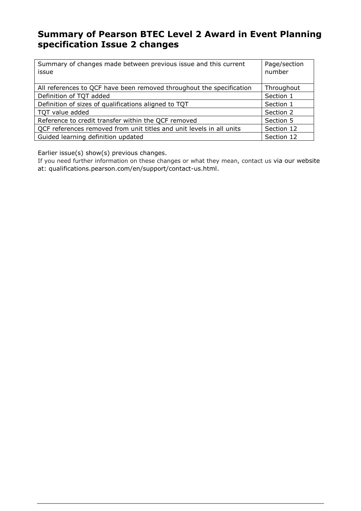### **Summary of Pearson BTEC Level 2 Award in Event Planning specification Issue 2 changes**

| Summary of changes made between previous issue and this current<br>issue | Page/section<br>number |
|--------------------------------------------------------------------------|------------------------|
| All references to QCF have been removed throughout the specification     | Throughout             |
| Definition of TQT added                                                  | Section 1              |
| Definition of sizes of qualifications aligned to TQT                     | Section 1              |
| TQT value added                                                          | Section 2              |
| Reference to credit transfer within the QCF removed                      | Section 5              |
| QCF references removed from unit titles and unit levels in all units     | Section 12             |
| Guided learning definition updated                                       | Section 12             |

Earlier issue(s) show(s) previous changes.

If you need further information on these changes or what they mean, contact us via our website at: qualifications.pearson.com/en/support/contact-us.html.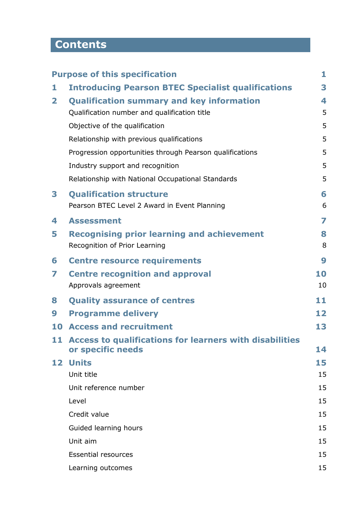# **Contents**

|              | <b>Purpose of this specification</b>                                            | 1  |
|--------------|---------------------------------------------------------------------------------|----|
| 1            | <b>Introducing Pearson BTEC Specialist qualifications</b>                       | 3  |
| $\mathbf{2}$ | <b>Qualification summary and key information</b>                                | 4  |
|              | Qualification number and qualification title                                    | 5  |
|              | Objective of the qualification                                                  | 5  |
|              | Relationship with previous qualifications                                       | 5  |
|              | Progression opportunities through Pearson qualifications                        | 5  |
|              | Industry support and recognition                                                | 5  |
|              | Relationship with National Occupational Standards                               | 5  |
| 3            | <b>Qualification structure</b>                                                  | 6  |
|              | Pearson BTEC Level 2 Award in Event Planning                                    | 6  |
| 4            | <b>Assessment</b>                                                               | 7  |
| 5            | <b>Recognising prior learning and achievement</b>                               | 8  |
|              | Recognition of Prior Learning                                                   | 8  |
| 6            | <b>Centre resource requirements</b>                                             | 9  |
| 7            | <b>Centre recognition and approval</b>                                          | 10 |
|              | Approvals agreement                                                             | 10 |
| 8            | <b>Quality assurance of centres</b>                                             | 11 |
| 9            | <b>Programme delivery</b>                                                       | 12 |
| 10           | <b>Access and recruitment</b>                                                   | 13 |
|              | 11 Access to qualifications for learners with disabilities<br>or specific needs | 14 |
| 12           | <b>Units</b>                                                                    | 15 |
|              | Unit title                                                                      | 15 |
|              | Unit reference number                                                           | 15 |
|              | Level                                                                           | 15 |
|              | Credit value                                                                    | 15 |
|              | Guided learning hours                                                           | 15 |
|              | Unit aim                                                                        | 15 |
|              | <b>Essential resources</b>                                                      | 15 |
|              | Learning outcomes                                                               | 15 |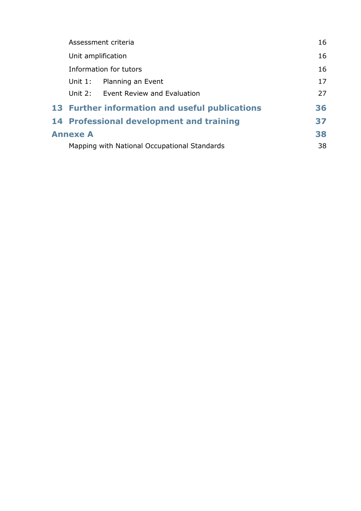|  |                 | Assessment criteria                            | 16 |
|--|-----------------|------------------------------------------------|----|
|  |                 | Unit amplification                             | 16 |
|  |                 | Information for tutors                         | 16 |
|  | Unit $1$ :      | Planning an Event                              | 17 |
|  |                 | Unit 2: Event Review and Evaluation            | 27 |
|  |                 | 13 Further information and useful publications | 36 |
|  |                 | 14 Professional development and training       | 37 |
|  | <b>Annexe A</b> |                                                | 38 |
|  |                 | Mapping with National Occupational Standards   | 38 |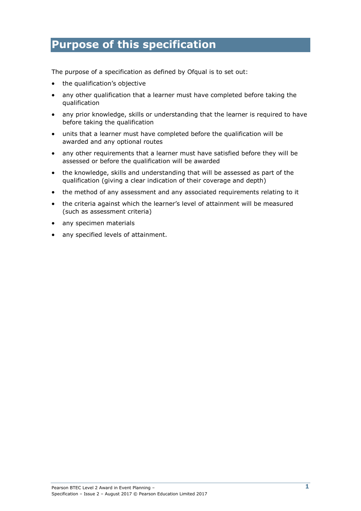### **Purpose of this specification**

The purpose of a specification as defined by Ofqual is to set out:

- the qualification's objective
- any other qualification that a learner must have completed before taking the qualification
- any prior knowledge, skills or understanding that the learner is required to have before taking the qualification
- units that a learner must have completed before the qualification will be awarded and any optional routes
- any other requirements that a learner must have satisfied before they will be assessed or before the qualification will be awarded
- the knowledge, skills and understanding that will be assessed as part of the qualification (giving a clear indication of their coverage and depth)
- the method of any assessment and any associated requirements relating to it
- the criteria against which the learner's level of attainment will be measured (such as assessment criteria)
- any specimen materials
- any specified levels of attainment.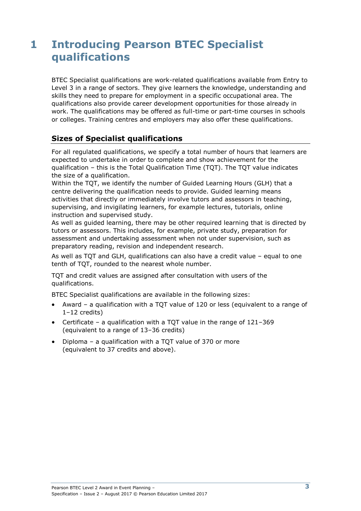## **1 Introducing Pearson BTEC Specialist qualifications**

BTEC Specialist qualifications are work-related qualifications available from Entry to Level 3 in a range of sectors. They give learners the knowledge, understanding and skills they need to prepare for employment in a specific occupational area. The qualifications also provide career development opportunities for those already in work. The qualifications may be offered as full-time or part-time courses in schools or colleges. Training centres and employers may also offer these qualifications.

### **Sizes of Specialist qualifications**

For all regulated qualifications, we specify a total number of hours that learners are expected to undertake in order to complete and show achievement for the qualification – this is the Total Qualification Time (TQT). The TQT value indicates the size of a qualification.

Within the TQT, we identify the number of Guided Learning Hours (GLH) that a centre delivering the qualification needs to provide. Guided learning means activities that directly or immediately involve tutors and assessors in teaching, supervising, and invigilating learners, for example lectures, tutorials, online instruction and supervised study.

As well as guided learning, there may be other required learning that is directed by tutors or assessors. This includes, for example, private study, preparation for assessment and undertaking assessment when not under supervision, such as preparatory reading, revision and independent research.

As well as TQT and GLH, qualifications can also have a credit value – equal to one tenth of TQT, rounded to the nearest whole number.

TQT and credit values are assigned after consultation with users of the qualifications.

BTEC Specialist qualifications are available in the following sizes:

- Award a qualification with a TQT value of 120 or less (equivalent to a range of 1–12 credits)
- Certificate a qualification with a TQT value in the range of 121–369 (equivalent to a range of 13–36 credits)
- Diploma a qualification with a TQT value of 370 or more (equivalent to 37 credits and above).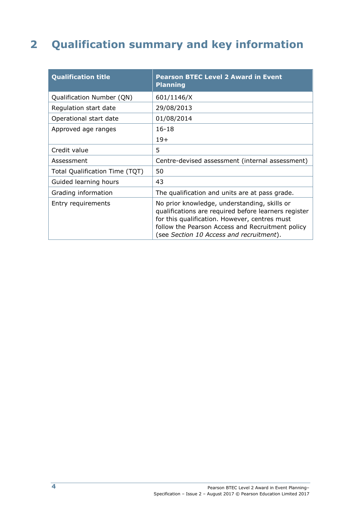# **2 Qualification summary and key information**

| <b>Qualification title</b>     | <b>Pearson BTEC Level 2 Award in Event</b><br><b>Planning</b>                                                                                                                                                                                         |
|--------------------------------|-------------------------------------------------------------------------------------------------------------------------------------------------------------------------------------------------------------------------------------------------------|
| Qualification Number (QN)      | 601/1146/X                                                                                                                                                                                                                                            |
| Regulation start date          | 29/08/2013                                                                                                                                                                                                                                            |
| Operational start date         | 01/08/2014                                                                                                                                                                                                                                            |
| Approved age ranges            | $16 - 18$                                                                                                                                                                                                                                             |
|                                | $19+$                                                                                                                                                                                                                                                 |
| Credit value                   | 5                                                                                                                                                                                                                                                     |
| Assessment                     | Centre-devised assessment (internal assessment)                                                                                                                                                                                                       |
| Total Qualification Time (TQT) | 50                                                                                                                                                                                                                                                    |
| Guided learning hours          | 43                                                                                                                                                                                                                                                    |
| Grading information            | The qualification and units are at pass grade.                                                                                                                                                                                                        |
| Entry requirements             | No prior knowledge, understanding, skills or<br>qualifications are required before learners register<br>for this qualification. However, centres must<br>follow the Pearson Access and Recruitment policy<br>(see Section 10 Access and recruitment). |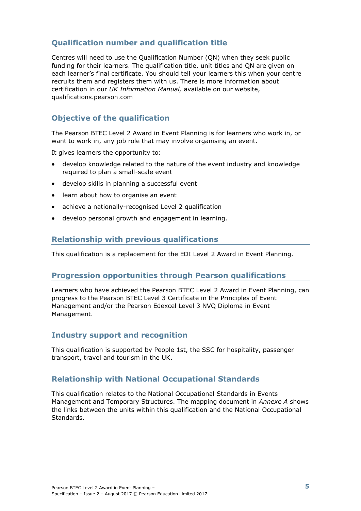### **Qualification number and qualification title**

Centres will need to use the Qualification Number (QN) when they seek public funding for their learners. The qualification title, unit titles and QN are given on each learner's final certificate. You should tell your learners this when your centre recruits them and registers them with us. There is more information about certification in our *UK Information Manual,* available on our website, qualifications.pearson.com

### **Objective of the qualification**

The Pearson BTEC Level 2 Award in Event Planning is for learners who work in, or want to work in, any job role that may involve organising an event.

It gives learners the opportunity to:

- develop knowledge related to the nature of the event industry and knowledge required to plan a small-scale event
- develop skills in planning a successful event
- learn about how to organise an event
- achieve a nationally-recognised Level 2 qualification
- develop personal growth and engagement in learning.

#### **Relationship with previous qualifications**

This qualification is a replacement for the EDI Level 2 Award in Event Planning.

#### **Progression opportunities through Pearson qualifications**

Learners who have achieved the Pearson BTEC Level 2 Award in Event Planning, can progress to the Pearson BTEC Level 3 Certificate in the Principles of Event Management and/or the Pearson Edexcel Level 3 NVQ Diploma in Event Management.

#### **Industry support and recognition**

This qualification is supported by People 1st, the SSC for hospitality, passenger transport, travel and tourism in the UK.

#### **Relationship with National Occupational Standards**

This qualification relates to the National Occupational Standards in Events Management and Temporary Structures. The mapping document in *Annexe A* shows the links between the units within this qualification and the National Occupational Standards.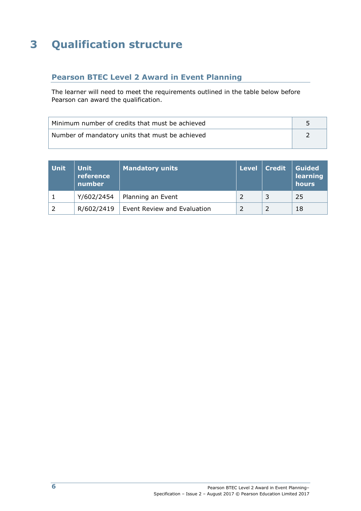# **3 Qualification structure**

### **Pearson BTEC Level 2 Award in Event Planning**

The learner will need to meet the requirements outlined in the table below before Pearson can award the qualification.

| Minimum number of credits that must be achieved |  |
|-------------------------------------------------|--|
| Number of mandatory units that must be achieved |  |

| <b>Unit</b> | <b>Unit</b><br>reference<br>number | <b>Mandatory units</b>      | Level | <b>Credit</b> | <b>Guided</b><br>learning<br>hours |
|-------------|------------------------------------|-----------------------------|-------|---------------|------------------------------------|
|             | Y/602/2454                         | Planning an Event           |       |               | 25                                 |
|             | R/602/2419                         | Event Review and Evaluation |       |               | 18                                 |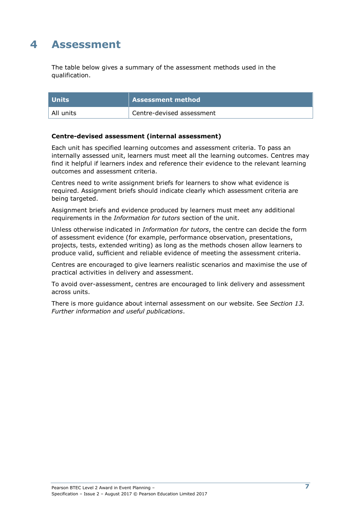### **4 Assessment**

The table below gives a summary of the assessment methods used in the qualification.

| <b>Units</b> | <b>Assessment method</b>  |
|--------------|---------------------------|
| All units    | Centre-devised assessment |

#### **Centre-devised assessment (internal assessment)**

Each unit has specified learning outcomes and assessment criteria. To pass an internally assessed unit, learners must meet all the learning outcomes. Centres may find it helpful if learners index and reference their evidence to the relevant learning outcomes and assessment criteria.

Centres need to write assignment briefs for learners to show what evidence is required. Assignment briefs should indicate clearly which assessment criteria are being targeted.

Assignment briefs and evidence produced by learners must meet any additional requirements in the *Information for tutors* section of the unit.

Unless otherwise indicated in *Information for tutors*, the centre can decide the form of assessment evidence (for example, performance observation, presentations, projects, tests, extended writing) as long as the methods chosen allow learners to produce valid, sufficient and reliable evidence of meeting the assessment criteria.

Centres are encouraged to give learners realistic scenarios and maximise the use of practical activities in delivery and assessment.

To avoid over-assessment, centres are encouraged to link delivery and assessment across units.

There is more guidance about internal assessment on our website. See *Section 13. Further information and useful publications*.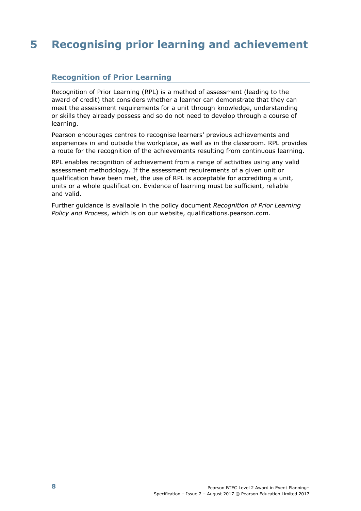# **5 Recognising prior learning and achievement**

#### **Recognition of Prior Learning**

Recognition of Prior Learning (RPL) is a method of assessment (leading to the award of credit) that considers whether a learner can demonstrate that they can meet the assessment requirements for a unit through knowledge, understanding or skills they already possess and so do not need to develop through a course of learning.

Pearson encourages centres to recognise learners' previous achievements and experiences in and outside the workplace, as well as in the classroom. RPL provides a route for the recognition of the achievements resulting from continuous learning.

RPL enables recognition of achievement from a range of activities using any valid assessment methodology. If the assessment requirements of a given unit or qualification have been met, the use of RPL is acceptable for accrediting a unit, units or a whole qualification. Evidence of learning must be sufficient, reliable and valid.

Further guidance is available in the policy document *Recognition of Prior Learning Policy and Process*, which is on our website, qualifications.pearson.com.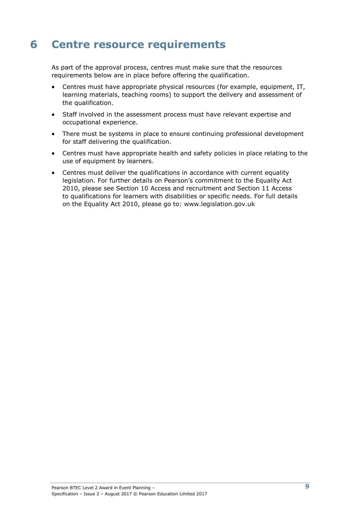# **6 Centre resource requirements**

As part of the approval process, centres must make sure that the resources requirements below are in place before offering the qualification.

- Centres must have appropriate physical resources (for example, equipment, IT, learning materials, teaching rooms) to support the delivery and assessment of the qualification.
- Staff involved in the assessment process must have relevant expertise and occupational experience.
- There must be systems in place to ensure continuing professional development for staff delivering the qualification.
- Centres must have appropriate health and safety policies in place relating to the use of equipment by learners.
- Centres must deliver the qualifications in accordance with current equality legislation. For further details on Pearson's commitment to the Equality Act 2010, please see Section 10 Access and recruitment and Section 11 Access to qualifications for learners with disabilities or specific needs. For full details on the Equality Act 2010, please go to: [www.legislation.gov.uk](http://www.legislation.gov.uk/)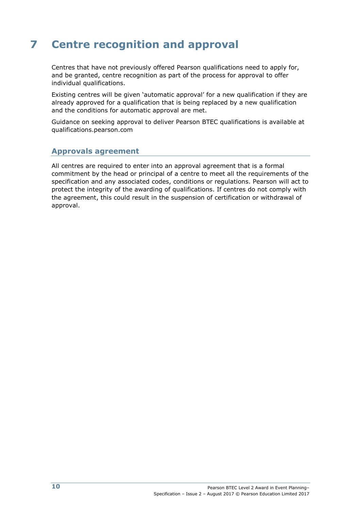# **7 Centre recognition and approval**

Centres that have not previously offered Pearson qualifications need to apply for, and be granted, centre recognition as part of the process for approval to offer individual qualifications.

Existing centres will be given 'automatic approval' for a new qualification if they are already approved for a qualification that is being replaced by a new qualification and the conditions for automatic approval are met.

Guidance on seeking approval to deliver Pearson BTEC qualifications is available at qualifications.pearson.com

#### **Approvals agreement**

All centres are required to enter into an approval agreement that is a formal commitment by the head or principal of a centre to meet all the requirements of the specification and any associated codes, conditions or regulations. Pearson will act to protect the integrity of the awarding of qualifications. If centres do not comply with the agreement, this could result in the suspension of certification or withdrawal of approval.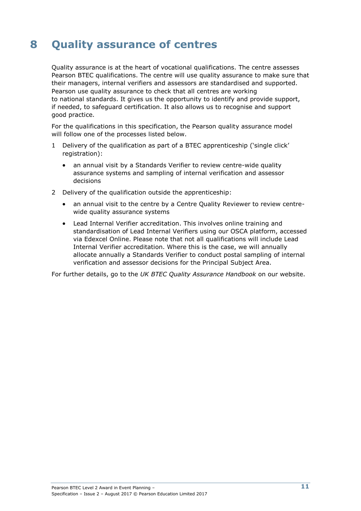# **8 Quality assurance of centres**

Quality assurance is at the heart of vocational qualifications. The centre assesses Pearson BTEC qualifications. The centre will use quality assurance to make sure that their managers, internal verifiers and assessors are standardised and supported. Pearson use quality assurance to check that all centres are working to national standards. It gives us the opportunity to identify and provide support, if needed, to safeguard certification. It also allows us to recognise and support good practice.

For the qualifications in this specification, the Pearson quality assurance model will follow one of the processes listed below.

- 1 Delivery of the qualification as part of a BTEC apprenticeship ('single click' registration):
	- an annual visit by a Standards Verifier to review centre-wide quality assurance systems and sampling of internal verification and assessor decisions
- 2 Delivery of the qualification outside the apprenticeship:
	- an annual visit to the centre by a Centre Quality Reviewer to review centrewide quality assurance systems
	- Lead Internal Verifier accreditation. This involves online training and standardisation of Lead Internal Verifiers using our OSCA platform, accessed via Edexcel Online. Please note that not all qualifications will include Lead Internal Verifier accreditation. Where this is the case, we will annually allocate annually a Standards Verifier to conduct postal sampling of internal verification and assessor decisions for the Principal Subject Area.

For further details, go to the *UK BTEC Quality Assurance Handbook* [on](http://www.edexcel.com/quals/BTEC/quality/Pages/documents.aspx) our website.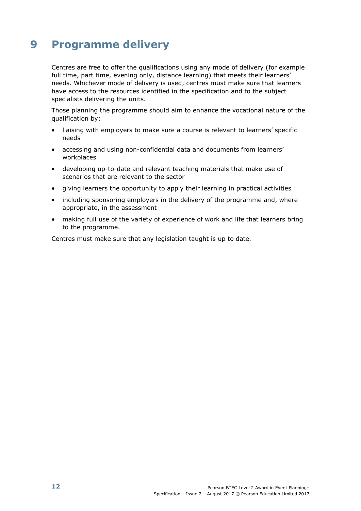# **9 Programme delivery**

Centres are free to offer the qualifications using any mode of delivery (for example full time, part time, evening only, distance learning) that meets their learners' needs. Whichever mode of delivery is used, centres must make sure that learners have access to the resources identified in the specification and to the subject specialists delivering the units.

Those planning the programme should aim to enhance the vocational nature of the qualification by:

- liaising with employers to make sure a course is relevant to learners' specific needs
- accessing and using non-confidential data and documents from learners' workplaces
- developing up-to-date and relevant teaching materials that make use of scenarios that are relevant to the sector
- giving learners the opportunity to apply their learning in practical activities
- including sponsoring employers in the delivery of the programme and, where appropriate, in the assessment
- making full use of the variety of experience of work and life that learners bring to the programme.

Centres must make sure that any legislation taught is up to date.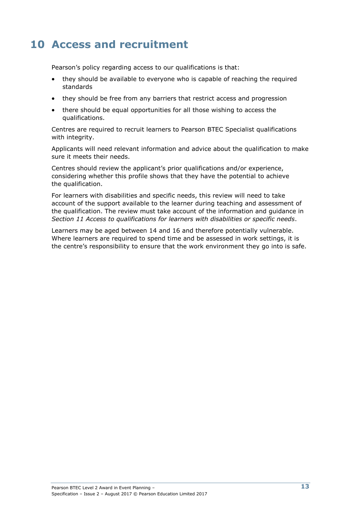## **10 Access and recruitment**

Pearson's policy regarding access to our qualifications is that:

- they should be available to everyone who is capable of reaching the required standards
- they should be free from any barriers that restrict access and progression
- there should be equal opportunities for all those wishing to access the qualifications.

Centres are required to recruit learners to Pearson BTEC Specialist qualifications with integrity.

Applicants will need relevant information and advice about the qualification to make sure it meets their needs.

Centres should review the applicant's prior qualifications and/or experience, considering whether this profile shows that they have the potential to achieve the qualification.

For learners with disabilities and specific needs, this review will need to take account of the support available to the learner during teaching and assessment of the qualification. The review must take account of the information and guidance in *Section 11 Access to qualifications for learners with disabilities or specific needs*.

Learners may be aged between 14 and 16 and therefore potentially vulnerable. Where learners are required to spend time and be assessed in work settings, it is the centre's responsibility to ensure that the work environment they go into is safe.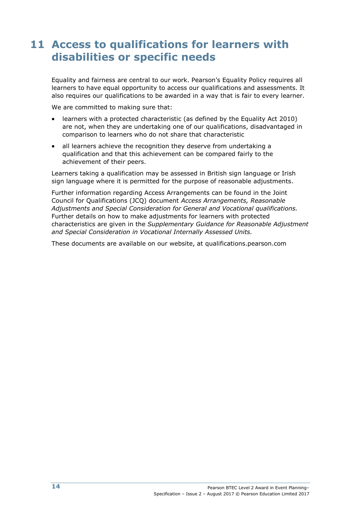### **11 Access to qualifications for learners with disabilities or specific needs**

Equality and fairness are central to our work. Pearson's Equality Policy requires all learners to have equal opportunity to access our qualifications and assessments. It also requires our qualifications to be awarded in a way that is fair to every learner.

We are committed to making sure that:

- learners with a protected characteristic (as defined by the Equality Act 2010) are not, when they are undertaking one of our qualifications, disadvantaged in comparison to learners who do not share that characteristic
- all learners achieve the recognition they deserve from undertaking a qualification and that this achievement can be compared fairly to the achievement of their peers.

Learners taking a qualification may be assessed in British sign language or Irish sign language where it is permitted for the purpose of reasonable adjustments.

Further information regarding Access Arrangements can be found in the Joint Council for Qualifications (JCQ) document *Access Arrangements, Reasonable Adjustments and Special Consideration for General and Vocational qualifications.*  Further details on how to make adjustments for learners with protected characteristics are given in the *Supplementary Guidance for Reasonable Adjustment and Special Consideration in Vocational Internally Assessed Units.* 

These documents are available on our website, at [qualifications.pearson.com](http://www.edexcel.com/Policies)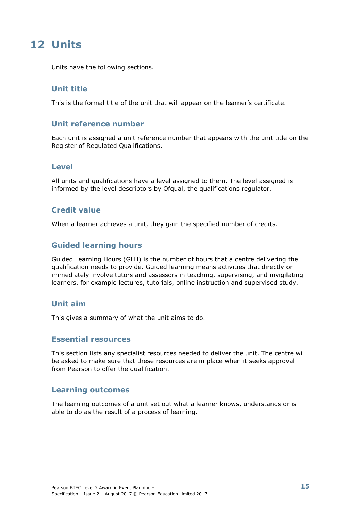### **12 Units**

Units have the following sections.

#### **Unit title**

This is the formal title of the unit that will appear on the learner's certificate.

#### **Unit reference number**

Each unit is assigned a unit reference number that appears with the unit title on the Register of Regulated Qualifications.

#### **Level**

All units and qualifications have a level assigned to them. The level assigned is informed by the level descriptors by Ofqual, the qualifications regulator.

#### **Credit value**

When a learner achieves a unit, they gain the specified number of credits.

#### **Guided learning hours**

Guided Learning Hours (GLH) is the number of hours that a centre delivering the qualification needs to provide. Guided learning means activities that directly or immediately involve tutors and assessors in teaching, supervising, and invigilating learners, for example lectures, tutorials, online instruction and supervised study.

#### **Unit aim**

This gives a summary of what the unit aims to do.

#### **Essential resources**

This section lists any specialist resources needed to deliver the unit. The centre will be asked to make sure that these resources are in place when it seeks approval from Pearson to offer the qualification.

#### **Learning outcomes**

The learning outcomes of a unit set out what a learner knows, understands or is able to do as the result of a process of learning.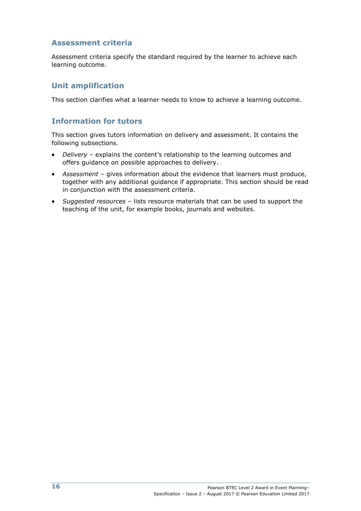#### **Assessment criteria**

Assessment criteria specify the standard required by the learner to achieve each learning outcome.

#### **Unit amplification**

This section clarifies what a learner needs to know to achieve a learning outcome.

#### **Information for tutors**

This section gives tutors information on delivery and assessment. It contains the following subsections.

- *Delivery* explains the content's relationship to the learning outcomes and offers guidance on possible approaches to delivery.
- *Assessment*  gives information about the evidence that learners must produce, together with any additional guidance if appropriate. This section should be read in conjunction with the assessment criteria.
- *Suggested resources* lists resource materials that can be used to support the teaching of the unit, for example books, journals and websites.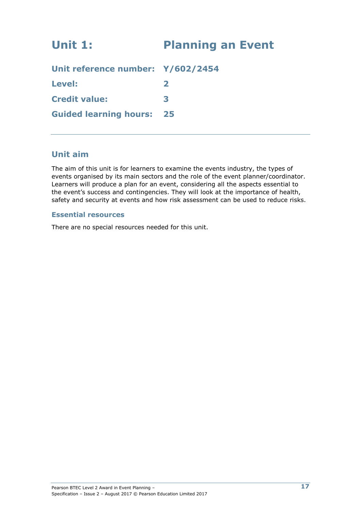# **Unit 1: Planning an Event Unit reference number: Y/602/2454 Level: 2**

**Guided learning hours: 25**

**Credit value: 3**

### **Unit aim**

The aim of this unit is for learners to examine the events industry, the types of events organised by its main sectors and the role of the event planner/coordinator. Learners will produce a plan for an event, considering all the aspects essential to the event's success and contingencies. They will look at the importance of health, safety and security at events and how risk assessment can be used to reduce risks.

#### **Essential resources**

There are no special resources needed for this unit.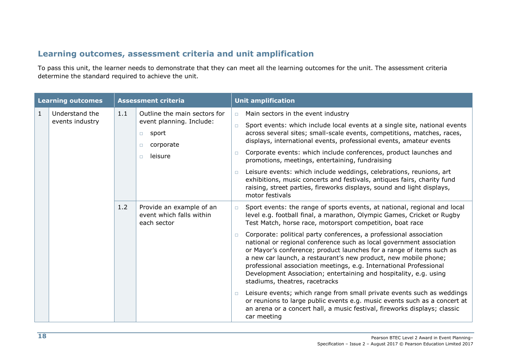### **Learning outcomes, assessment criteria and unit amplification**

To pass this unit, the learner needs to demonstrate that they can meet all the learning outcomes for the unit. The assessment criteria determine the standard required to achieve the unit.

| <b>Learning outcomes</b> |                                   |     | <b>Assessment criteria</b>                                                                                              |                            | <b>Unit amplification</b>                                                                                                                                                                                                                                                                                                                                                                                                                                                                                                                                                                                                                                                                                                                                                                                                                                                                                                                 |
|--------------------------|-----------------------------------|-----|-------------------------------------------------------------------------------------------------------------------------|----------------------------|-------------------------------------------------------------------------------------------------------------------------------------------------------------------------------------------------------------------------------------------------------------------------------------------------------------------------------------------------------------------------------------------------------------------------------------------------------------------------------------------------------------------------------------------------------------------------------------------------------------------------------------------------------------------------------------------------------------------------------------------------------------------------------------------------------------------------------------------------------------------------------------------------------------------------------------------|
| $\mathbf{1}$             | Understand the<br>events industry | 1.1 | Outline the main sectors for<br>event planning. Include:<br>sport<br>$\Box$<br>corporate<br>$\Box$<br>leisure<br>$\Box$ | $\Box$<br>$\Box$<br>$\Box$ | Main sectors in the event industry<br>Sport events: which include local events at a single site, national events<br>across several sites; small-scale events, competitions, matches, races,<br>displays, international events, professional events, amateur events<br>Corporate events: which include conferences, product launches and<br>promotions, meetings, entertaining, fundraising<br>Leisure events: which include weddings, celebrations, reunions, art<br>exhibitions, music concerts and festivals, antiques fairs, charity fund<br>raising, street parties, fireworks displays, sound and light displays,<br>motor festivals                                                                                                                                                                                                                                                                                                 |
|                          |                                   | 1.2 | Provide an example of an<br>event which falls within<br>each sector                                                     | $\Box$<br>$\Box$<br>$\Box$ | Sport events: the range of sports events, at national, regional and local<br>level e.g. football final, a marathon, Olympic Games, Cricket or Rugby<br>Test Match, horse race, motorsport competition, boat race<br>Corporate: political party conferences, a professional association<br>national or regional conference such as local government association<br>or Mayor's conference; product launches for a range of items such as<br>a new car launch, a restaurant's new product, new mobile phone;<br>professional association meetings, e.g. International Professional<br>Development Association; entertaining and hospitality, e.g. using<br>stadiums, theatres, racetracks<br>Leisure events; which range from small private events such as weddings<br>or reunions to large public events e.g. music events such as a concert at<br>an arena or a concert hall, a music festival, fireworks displays; classic<br>car meeting |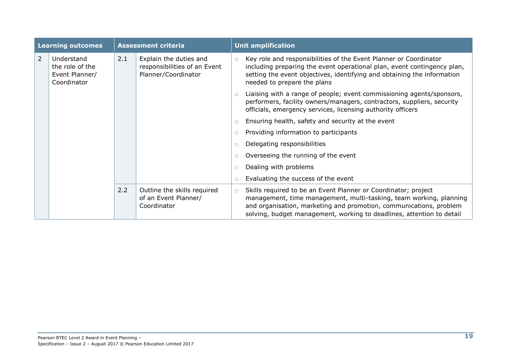| <b>Learning outcomes</b> |                                                                | <b>Assessment criteria</b> |                                                                               | <b>Unit amplification</b> |                                                                                                                                                                                                                                                                                     |  |
|--------------------------|----------------------------------------------------------------|----------------------------|-------------------------------------------------------------------------------|---------------------------|-------------------------------------------------------------------------------------------------------------------------------------------------------------------------------------------------------------------------------------------------------------------------------------|--|
| $\overline{2}$           | Understand<br>the role of the<br>Event Planner/<br>Coordinator | 2.1                        | Explain the duties and<br>responsibilities of an Event<br>Planner/Coordinator | $\Box$                    | Key role and responsibilities of the Event Planner or Coordinator<br>including preparing the event operational plan, event contingency plan,<br>setting the event objectives, identifying and obtaining the information<br>needed to prepare the plans                              |  |
|                          |                                                                |                            |                                                                               | $\Box$                    | Liaising with a range of people; event commissioning agents/sponsors,<br>performers, facility owners/managers, contractors, suppliers, security<br>officials, emergency services, licensing authority officers                                                                      |  |
|                          |                                                                |                            |                                                                               | $\Box$                    | Ensuring health, safety and security at the event                                                                                                                                                                                                                                   |  |
|                          |                                                                |                            |                                                                               | $\Box$                    | Providing information to participants                                                                                                                                                                                                                                               |  |
|                          |                                                                |                            |                                                                               | $\Box$                    | Delegating responsibilities                                                                                                                                                                                                                                                         |  |
|                          |                                                                |                            |                                                                               |                           | Overseeing the running of the event                                                                                                                                                                                                                                                 |  |
|                          |                                                                |                            |                                                                               | П                         | Dealing with problems                                                                                                                                                                                                                                                               |  |
|                          |                                                                |                            |                                                                               | $\Box$                    | Evaluating the success of the event                                                                                                                                                                                                                                                 |  |
|                          |                                                                | 2.2                        | Outline the skills required<br>of an Event Planner/<br>Coordinator            | $\Box$                    | Skills required to be an Event Planner or Coordinator; project<br>management, time management, multi-tasking, team working, planning<br>and organisation, marketing and promotion, communications, problem<br>solving, budget management, working to deadlines, attention to detail |  |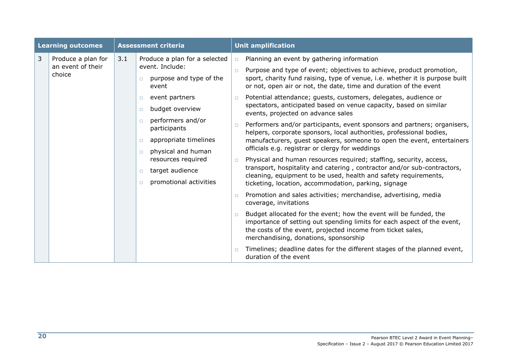| <b>Learning outcomes</b> |                                                   | <b>Assessment criteria</b> |                                                                                                                                                                                                                                                                                                                                                                  | <b>Unit amplification</b>                                          |                                                                                                                                                                                                                                                                                                                                                                                                                                                                                                                                                                                                                                                                                                                                                                                                                                                                                                                                                                                                                                                                                                                                                                                                                                                                                                                                                                        |  |
|--------------------------|---------------------------------------------------|----------------------------|------------------------------------------------------------------------------------------------------------------------------------------------------------------------------------------------------------------------------------------------------------------------------------------------------------------------------------------------------------------|--------------------------------------------------------------------|------------------------------------------------------------------------------------------------------------------------------------------------------------------------------------------------------------------------------------------------------------------------------------------------------------------------------------------------------------------------------------------------------------------------------------------------------------------------------------------------------------------------------------------------------------------------------------------------------------------------------------------------------------------------------------------------------------------------------------------------------------------------------------------------------------------------------------------------------------------------------------------------------------------------------------------------------------------------------------------------------------------------------------------------------------------------------------------------------------------------------------------------------------------------------------------------------------------------------------------------------------------------------------------------------------------------------------------------------------------------|--|
| 3                        | Produce a plan for<br>an event of their<br>choice | 3.1                        | Produce a plan for a selected<br>event. Include:<br>purpose and type of the<br>$\Box$<br>event<br>event partners<br>$\Box$<br>budget overview<br>$\Box$<br>performers and/or<br>$\Box$<br>participants<br>appropriate timelines<br>$\Box$<br>physical and human<br>$\Box$<br>resources required<br>target audience<br>$\Box$<br>promotional activities<br>$\Box$ | $\Box$<br>$\Box$<br>$\Box$<br>$\Box$<br>$\Box$<br>$\Box$<br>$\Box$ | Planning an event by gathering information<br>Purpose and type of event; objectives to achieve, product promotion,<br>sport, charity fund raising, type of venue, i.e. whether it is purpose built<br>or not, open air or not, the date, time and duration of the event<br>Potential attendance; guests, customers, delegates, audience or<br>spectators, anticipated based on venue capacity, based on similar<br>events, projected on advance sales<br>Performers and/or participants, event sponsors and partners; organisers,<br>helpers, corporate sponsors, local authorities, professional bodies,<br>manufacturers, guest speakers, someone to open the event, entertainers<br>officials e.g. registrar or clergy for weddings<br>Physical and human resources required; staffing, security, access,<br>transport, hospitality and catering, contractor and/or sub-contractors,<br>cleaning, equipment to be used, health and safety requirements,<br>ticketing, location, accommodation, parking, signage<br>Promotion and sales activities; merchandise, advertising, media<br>coverage, invitations<br>Budget allocated for the event; how the event will be funded, the<br>importance of setting out spending limits for each aspect of the event,<br>the costs of the event, projected income from ticket sales,<br>merchandising, donations, sponsorship |  |
|                          |                                                   |                            |                                                                                                                                                                                                                                                                                                                                                                  |                                                                    | Timelines; deadline dates for the different stages of the planned event,<br>duration of the event                                                                                                                                                                                                                                                                                                                                                                                                                                                                                                                                                                                                                                                                                                                                                                                                                                                                                                                                                                                                                                                                                                                                                                                                                                                                      |  |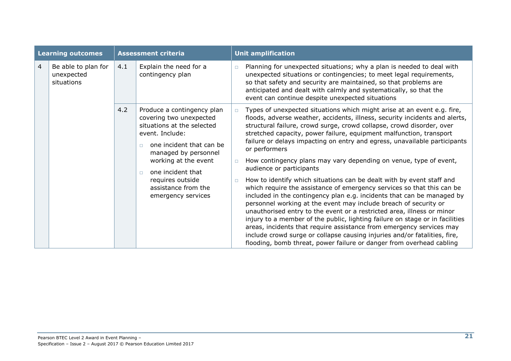| <b>Learning outcomes</b> |                                                 | <b>Assessment criteria</b> |                                                                                                                                                                                                                                                                                              | <b>Unit amplification</b>  |                                                                                                                                                                                                                                                                                                                                                                                                                                                                                                                                                                                                                                                                                                                                                                                                                                                                                                                                                                                                                                                                                                                                                                                               |  |
|--------------------------|-------------------------------------------------|----------------------------|----------------------------------------------------------------------------------------------------------------------------------------------------------------------------------------------------------------------------------------------------------------------------------------------|----------------------------|-----------------------------------------------------------------------------------------------------------------------------------------------------------------------------------------------------------------------------------------------------------------------------------------------------------------------------------------------------------------------------------------------------------------------------------------------------------------------------------------------------------------------------------------------------------------------------------------------------------------------------------------------------------------------------------------------------------------------------------------------------------------------------------------------------------------------------------------------------------------------------------------------------------------------------------------------------------------------------------------------------------------------------------------------------------------------------------------------------------------------------------------------------------------------------------------------|--|
| 4                        | Be able to plan for<br>unexpected<br>situations | 4.1                        | Explain the need for a<br>contingency plan                                                                                                                                                                                                                                                   | $\Box$                     | Planning for unexpected situations; why a plan is needed to deal with<br>unexpected situations or contingencies; to meet legal requirements,<br>so that safety and security are maintained, so that problems are<br>anticipated and dealt with calmly and systematically, so that the<br>event can continue despite unexpected situations                                                                                                                                                                                                                                                                                                                                                                                                                                                                                                                                                                                                                                                                                                                                                                                                                                                     |  |
|                          |                                                 | 4.2                        | Produce a contingency plan<br>covering two unexpected<br>situations at the selected<br>event. Include:<br>one incident that can be<br>$\Box$<br>managed by personnel<br>working at the event<br>one incident that<br>$\Box$<br>requires outside<br>assistance from the<br>emergency services | $\Box$<br>$\Box$<br>$\Box$ | Types of unexpected situations which might arise at an event e.g. fire,<br>floods, adverse weather, accidents, illness, security incidents and alerts,<br>structural failure, crowd surge, crowd collapse, crowd disorder, over<br>stretched capacity, power failure, equipment malfunction, transport<br>failure or delays impacting on entry and egress, unavailable participants<br>or performers<br>How contingency plans may vary depending on venue, type of event,<br>audience or participants<br>How to identify which situations can be dealt with by event staff and<br>which require the assistance of emergency services so that this can be<br>included in the contingency plan e.g. incidents that can be managed by<br>personnel working at the event may include breach of security or<br>unauthorised entry to the event or a restricted area, illness or minor<br>injury to a member of the public, lighting failure on stage or in facilities<br>areas, incidents that require assistance from emergency services may<br>include crowd surge or collapse causing injuries and/or fatalities, fire,<br>flooding, bomb threat, power failure or danger from overhead cabling |  |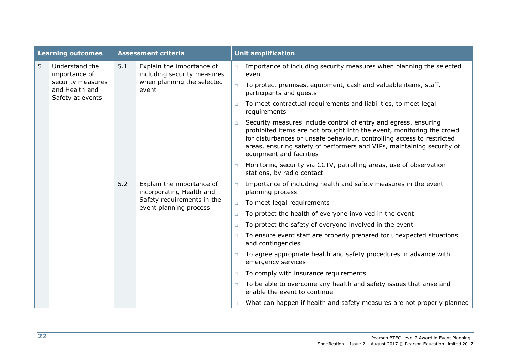| <b>Learning outcomes</b> |                                                         |     | <b>Assessment criteria</b>                                                                                    |        | <b>Unit amplification</b>                                                                                                                                                                                                                                                                                                |
|--------------------------|---------------------------------------------------------|-----|---------------------------------------------------------------------------------------------------------------|--------|--------------------------------------------------------------------------------------------------------------------------------------------------------------------------------------------------------------------------------------------------------------------------------------------------------------------------|
| 5                        | Understand the<br>importance of                         | 5.1 | Explain the importance of<br>including security measures                                                      | $\Box$ | Importance of including security measures when planning the selected<br>event                                                                                                                                                                                                                                            |
|                          | security measures<br>and Health and<br>Safety at events |     | when planning the selected<br>event                                                                           | $\Box$ | To protect premises, equipment, cash and valuable items, staff,<br>participants and guests                                                                                                                                                                                                                               |
|                          |                                                         |     |                                                                                                               | $\Box$ | To meet contractual requirements and liabilities, to meet legal<br>requirements                                                                                                                                                                                                                                          |
|                          |                                                         |     |                                                                                                               | $\Box$ | Security measures include control of entry and egress, ensuring<br>prohibited items are not brought into the event, monitoring the crowd<br>for disturbances or unsafe behaviour, controlling access to restricted<br>areas, ensuring safety of performers and VIPs, maintaining security of<br>equipment and facilities |
|                          |                                                         | 5.2 |                                                                                                               | $\Box$ | Monitoring security via CCTV, patrolling areas, use of observation<br>stations, by radio contact                                                                                                                                                                                                                         |
|                          |                                                         |     | Explain the importance of<br>incorporating Health and<br>Safety requirements in the<br>event planning process | $\Box$ | Importance of including health and safety measures in the event<br>planning process                                                                                                                                                                                                                                      |
|                          |                                                         |     |                                                                                                               | $\Box$ | To meet legal requirements                                                                                                                                                                                                                                                                                               |
|                          |                                                         |     |                                                                                                               | $\Box$ | To protect the health of everyone involved in the event                                                                                                                                                                                                                                                                  |
|                          |                                                         |     |                                                                                                               | $\Box$ | To protect the safety of everyone involved in the event                                                                                                                                                                                                                                                                  |
|                          |                                                         |     |                                                                                                               | $\Box$ | To ensure event staff are properly prepared for unexpected situations<br>and contingencies                                                                                                                                                                                                                               |
|                          |                                                         |     |                                                                                                               | $\Box$ | To agree appropriate health and safety procedures in advance with<br>emergency services                                                                                                                                                                                                                                  |
|                          |                                                         |     |                                                                                                               | $\Box$ | To comply with insurance requirements                                                                                                                                                                                                                                                                                    |
|                          |                                                         |     |                                                                                                               | $\Box$ | To be able to overcome any health and safety issues that arise and<br>enable the event to continue                                                                                                                                                                                                                       |
|                          |                                                         |     |                                                                                                               | $\Box$ | What can happen if health and safety measures are not properly planned                                                                                                                                                                                                                                                   |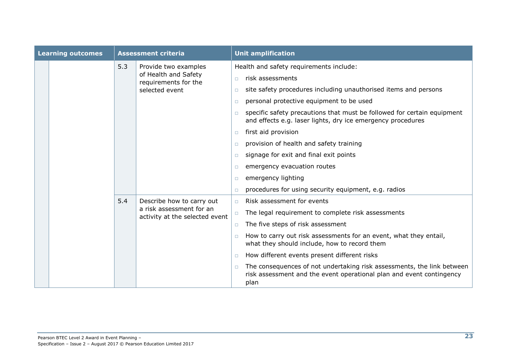| <b>Learning outcomes</b> |  | <b>Assessment criteria</b> |                                                                                         | <b>Unit amplification</b>                                                                                                                              |                                                                                                                                        |  |  |
|--------------------------|--|----------------------------|-----------------------------------------------------------------------------------------|--------------------------------------------------------------------------------------------------------------------------------------------------------|----------------------------------------------------------------------------------------------------------------------------------------|--|--|
|                          |  | 5.3                        | Provide two examples<br>of Health and Safety<br>requirements for the<br>selected event  |                                                                                                                                                        | Health and safety requirements include:                                                                                                |  |  |
|                          |  |                            |                                                                                         | $\Box$                                                                                                                                                 | risk assessments                                                                                                                       |  |  |
|                          |  |                            |                                                                                         | $\Box$                                                                                                                                                 | site safety procedures including unauthorised items and persons                                                                        |  |  |
|                          |  |                            |                                                                                         | $\Box$                                                                                                                                                 | personal protective equipment to be used                                                                                               |  |  |
|                          |  |                            |                                                                                         | $\Box$                                                                                                                                                 | specific safety precautions that must be followed for certain equipment<br>and effects e.g. laser lights, dry ice emergency procedures |  |  |
|                          |  |                            |                                                                                         | $\Box$                                                                                                                                                 | first aid provision                                                                                                                    |  |  |
|                          |  |                            |                                                                                         | $\Box$                                                                                                                                                 | provision of health and safety training                                                                                                |  |  |
|                          |  |                            |                                                                                         | $\Box$                                                                                                                                                 | signage for exit and final exit points                                                                                                 |  |  |
|                          |  |                            |                                                                                         | n.                                                                                                                                                     | emergency evacuation routes                                                                                                            |  |  |
|                          |  |                            |                                                                                         | $\Box$                                                                                                                                                 | emergency lighting                                                                                                                     |  |  |
|                          |  |                            |                                                                                         | $\Box$                                                                                                                                                 | procedures for using security equipment, e.g. radios                                                                                   |  |  |
|                          |  | 5.4                        | Describe how to carry out<br>a risk assessment for an<br>activity at the selected event | $\Box$                                                                                                                                                 | Risk assessment for events                                                                                                             |  |  |
|                          |  |                            |                                                                                         | $\Box$                                                                                                                                                 | The legal requirement to complete risk assessments                                                                                     |  |  |
|                          |  |                            |                                                                                         | $\Box$                                                                                                                                                 | The five steps of risk assessment                                                                                                      |  |  |
|                          |  |                            |                                                                                         | $\Box$                                                                                                                                                 | How to carry out risk assessments for an event, what they entail,<br>what they should include, how to record them                      |  |  |
|                          |  |                            |                                                                                         | $\Box$                                                                                                                                                 | How different events present different risks                                                                                           |  |  |
|                          |  |                            | п                                                                                       | The consequences of not undertaking risk assessments, the link between<br>risk assessment and the event operational plan and event contingency<br>plan |                                                                                                                                        |  |  |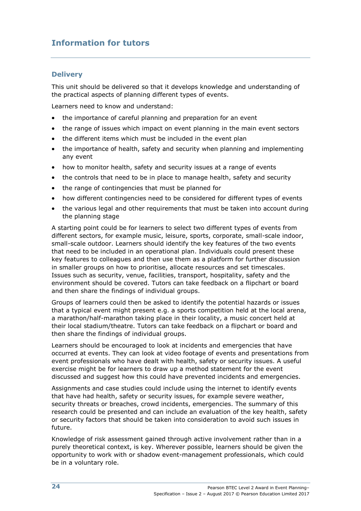### **Information for tutors**

#### **Delivery**

This unit should be delivered so that it develops knowledge and understanding of the practical aspects of planning different types of events.

Learners need to know and understand:

- the importance of careful planning and preparation for an event
- the range of issues which impact on event planning in the main event sectors
- the different items which must be included in the event plan
- the importance of health, safety and security when planning and implementing any event
- how to monitor health, safety and security issues at a range of events
- the controls that need to be in place to manage health, safety and security
- the range of contingencies that must be planned for
- how different contingencies need to be considered for different types of events
- the various legal and other requirements that must be taken into account during the planning stage

A starting point could be for learners to select two different types of events from different sectors, for example music, leisure, sports, corporate, small-scale indoor, small-scale outdoor. Learners should identify the key features of the two events that need to be included in an operational plan. Individuals could present these key features to colleagues and then use them as a platform for further discussion in smaller groups on how to prioritise, allocate resources and set timescales. Issues such as security, venue, facilities, transport, hospitality, safety and the environment should be covered. Tutors can take feedback on a flipchart or board and then share the findings of individual groups.

Groups of learners could then be asked to identify the potential hazards or issues that a typical event might present e.g. a sports competition held at the local arena, a marathon/half-marathon taking place in their locality, a music concert held at their local stadium/theatre. Tutors can take feedback on a flipchart or board and then share the findings of individual groups.

Learners should be encouraged to look at incidents and emergencies that have occurred at events. They can look at video footage of events and presentations from event professionals who have dealt with health, safety or security issues. A useful exercise might be for learners to draw up a method statement for the event discussed and suggest how this could have prevented incidents and emergencies.

Assignments and case studies could include using the internet to identify events that have had health, safety or security issues, for example severe weather, security threats or breaches, crowd incidents, emergencies. The summary of this research could be presented and can include an evaluation of the key health, safety or security factors that should be taken into consideration to avoid such issues in future.

Knowledge of risk assessment gained through active involvement rather than in a purely theoretical context, is key. Wherever possible, learners should be given the opportunity to work with or shadow event-management professionals, which could be in a voluntary role.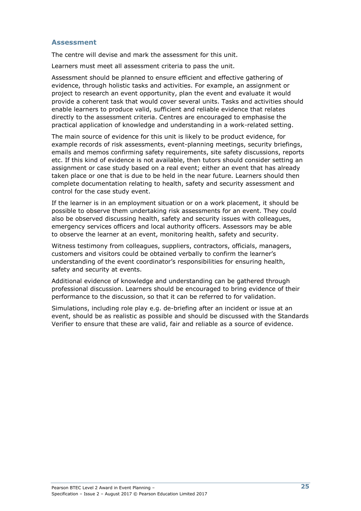#### **Assessment**

The centre will devise and mark the assessment for this unit.

Learners must meet all assessment criteria to pass the unit.

Assessment should be planned to ensure efficient and effective gathering of evidence, through holistic tasks and activities. For example, an assignment or project to research an event opportunity, plan the event and evaluate it would provide a coherent task that would cover several units. Tasks and activities should enable learners to produce valid, sufficient and reliable evidence that relates directly to the assessment criteria. Centres are encouraged to emphasise the practical application of knowledge and understanding in a work-related setting.

The main source of evidence for this unit is likely to be product evidence, for example records of risk assessments, event-planning meetings, security briefings, emails and memos confirming safety requirements, site safety discussions, reports etc. If this kind of evidence is not available, then tutors should consider setting an assignment or case study based on a real event; either an event that has already taken place or one that is due to be held in the near future. Learners should then complete documentation relating to health, safety and security assessment and control for the case study event.

If the learner is in an employment situation or on a work placement, it should be possible to observe them undertaking risk assessments for an event. They could also be observed discussing health, safety and security issues with colleagues, emergency services officers and local authority officers. Assessors may be able to observe the learner at an event, monitoring health, safety and security.

Witness testimony from colleagues, suppliers, contractors, officials, managers, customers and visitors could be obtained verbally to confirm the learner's understanding of the event coordinator's responsibilities for ensuring health, safety and security at events.

Additional evidence of knowledge and understanding can be gathered through professional discussion. Learners should be encouraged to bring evidence of their performance to the discussion, so that it can be referred to for validation.

Simulations, including role play e.g. de-briefing after an incident or issue at an event, should be as realistic as possible and should be discussed with the Standards Verifier to ensure that these are valid, fair and reliable as a source of evidence.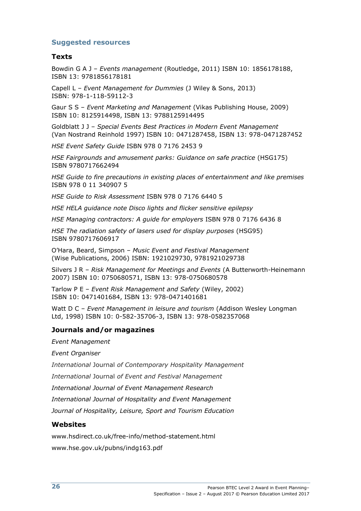#### **Suggested resources**

#### **Texts**

Bowdin G A J – *Events management* (Routledge, 2011) ISBN 10: 1856178188, ISBN 13: 9781856178181

Capell L – *Event Management for Dummies* (J Wiley & Sons, 2013) ISBN: 978-1-118-59112-3

Gaur S S – *Event Marketing and Management* (Vikas Publishing House, 2009) ISBN 10: 8125914498, ISBN 13: 9788125914495

Goldblatt J J – *Special Events Best Practices in Modern Event Management* (Van Nostrand Reinhold 1997) ISBN 10: 0471287458, ISBN 13: 978-0471287452

*HSE Event Safety Guide* ISBN 978 0 7176 2453 9

*HSE Fairgrounds and amusement parks: Guidance on safe practice* (HSG175) ISBN 9780717662494

*HSE Guide to fire precautions in existing places of entertainment and like premises*  ISBN 978 0 11 340907 5

*HSE Guide to Risk Assessment* ISBN 978 0 7176 6440 5

*HSE HELA guidance note Disco lights and flicker sensitive epilepsy*

*HSE Managing contractors: A guide for employers* ISBN 978 0 7176 6436 8

*HSE The radiation safety of lasers used for display purposes* (HSG95) ISBN 9780717606917

O'Hara, Beard, Simpson – *Music Event and Festival Management* (Wise Publications, 2006) ISBN: 1921029730, 9781921029738

Silvers J R – *Risk Management for Meetings and Events* (A Butterworth-Heinemann 2007) ISBN 10: 0750680571, ISBN 13: 978-0750680578

Tarlow P E – *Event Risk Management and Safety* (Wiley, 2002) ISBN 10: 0471401684, ISBN 13: 978-0471401681

Watt D C – *Event Management in leisure and tourism* (Addison Wesley Longman Ltd, 1998) ISBN 10: 0-582-35706-3, ISBN 13: 978-0582357068

#### **Journals and/or magazines**

*Event Management*

*Event Organiser*

*International* Journal *of Contemporary Hospitality Management*

*International* Journal *of Event and Festival Management*

*International Journal of Event Management Research*

*International Journal of Hospitality and Event Management*

*Journal of Hospitality, Leisure, Sport and Tourism Education*

#### **Websites**

[www.hsdirect.co.uk/free-info/method-statement.html](http://www.hsdirect.co.uk/free-info/method-statement.html) [www.hse.gov.uk/pubns/indg163.pdf](http://www.hse.gov.uk/pubns/indg163.pdf)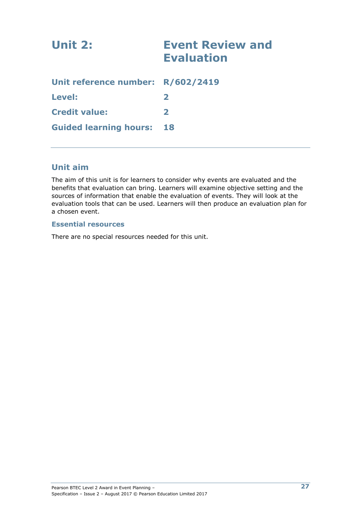| Unit 2:                           | <b>Event Review and</b><br><b>Evaluation</b> |
|-----------------------------------|----------------------------------------------|
| Unit reference number: R/602/2419 |                                              |
| Level:                            | $\mathbf{z}$                                 |
| <b>Credit value:</b>              | 2                                            |
| <b>Guided learning hours:</b>     | 18                                           |

### **Unit aim**

The aim of this unit is for learners to consider why events are evaluated and the benefits that evaluation can bring. Learners will examine objective setting and the sources of information that enable the evaluation of events. They will look at the evaluation tools that can be used. Learners will then produce an evaluation plan for a chosen event.

#### **Essential resources**

There are no special resources needed for this unit.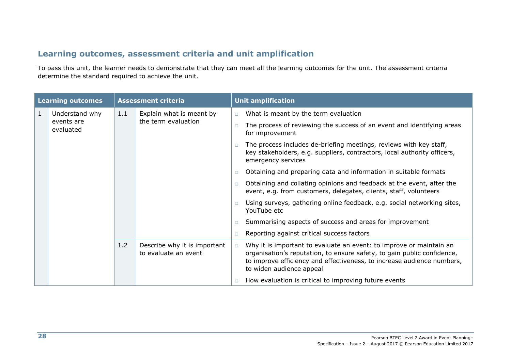### **Learning outcomes, assessment criteria and unit amplification**

To pass this unit, the learner needs to demonstrate that they can meet all the learning outcomes for the unit. The assessment criteria determine the standard required to achieve the unit.

| <b>Learning outcomes</b> |                                           | <b>Assessment criteria</b> |                                                      |        | <b>Unit amplification</b>                                                                                                                                                                                                                            |  |  |  |
|--------------------------|-------------------------------------------|----------------------------|------------------------------------------------------|--------|------------------------------------------------------------------------------------------------------------------------------------------------------------------------------------------------------------------------------------------------------|--|--|--|
| $\mathbf{1}$             | Understand why<br>events are<br>evaluated | 1.1<br>1.2                 | Explain what is meant by<br>the term evaluation      | $\Box$ | What is meant by the term evaluation                                                                                                                                                                                                                 |  |  |  |
|                          |                                           |                            |                                                      |        | The process of reviewing the success of an event and identifying areas<br>for improvement                                                                                                                                                            |  |  |  |
|                          |                                           |                            |                                                      |        | The process includes de-briefing meetings, reviews with key staff,<br>key stakeholders, e.g. suppliers, contractors, local authority officers,<br>emergency services                                                                                 |  |  |  |
|                          |                                           |                            |                                                      |        | Obtaining and preparing data and information in suitable formats                                                                                                                                                                                     |  |  |  |
|                          |                                           |                            |                                                      | $\Box$ | Obtaining and collating opinions and feedback at the event, after the<br>event, e.g. from customers, delegates, clients, staff, volunteers                                                                                                           |  |  |  |
|                          |                                           |                            |                                                      |        | Using surveys, gathering online feedback, e.g. social networking sites,<br>YouTube etc                                                                                                                                                               |  |  |  |
|                          |                                           |                            |                                                      | □      | Summarising aspects of success and areas for improvement                                                                                                                                                                                             |  |  |  |
|                          |                                           |                            |                                                      | □      | Reporting against critical success factors                                                                                                                                                                                                           |  |  |  |
|                          |                                           |                            | Describe why it is important<br>to evaluate an event | $\Box$ | Why it is important to evaluate an event: to improve or maintain an<br>organisation's reputation, to ensure safety, to gain public confidence,<br>to improve efficiency and effectiveness, to increase audience numbers,<br>to widen audience appeal |  |  |  |
|                          |                                           |                            |                                                      |        | How evaluation is critical to improving future events                                                                                                                                                                                                |  |  |  |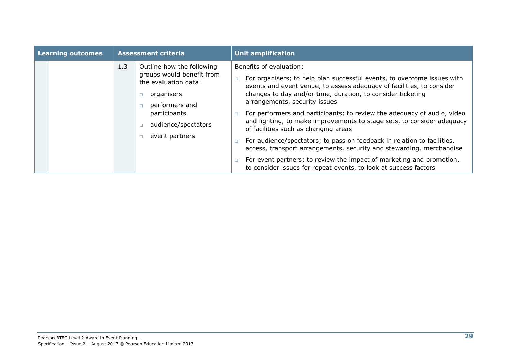| <b>Learning outcomes</b> |  | <b>Assessment criteria</b> |                                                                                                                                                                         | <b>Unit amplification</b> |                                                                                                                                                                                                                                                                                                                                                                                                                                                                                                                                                                                                                                                                                                                                                                         |  |  |
|--------------------------|--|----------------------------|-------------------------------------------------------------------------------------------------------------------------------------------------------------------------|---------------------------|-------------------------------------------------------------------------------------------------------------------------------------------------------------------------------------------------------------------------------------------------------------------------------------------------------------------------------------------------------------------------------------------------------------------------------------------------------------------------------------------------------------------------------------------------------------------------------------------------------------------------------------------------------------------------------------------------------------------------------------------------------------------------|--|--|
|                          |  | 1.3                        | Outline how the following<br>groups would benefit from<br>the evaluation data:<br>organisers<br>performers and<br>participants<br>audience/spectators<br>event partners | $\Box$                    | Benefits of evaluation:<br>For organisers; to help plan successful events, to overcome issues with<br>events and event venue, to assess adequacy of facilities, to consider<br>changes to day and/or time, duration, to consider ticketing<br>arrangements, security issues<br>For performers and participants; to review the adequacy of audio, video<br>and lighting, to make improvements to stage sets, to consider adequacy<br>of facilities such as changing areas<br>For audience/spectators; to pass on feedback in relation to facilities,<br>access, transport arrangements, security and stewarding, merchandise<br>For event partners; to review the impact of marketing and promotion,<br>to consider issues for repeat events, to look at success factors |  |  |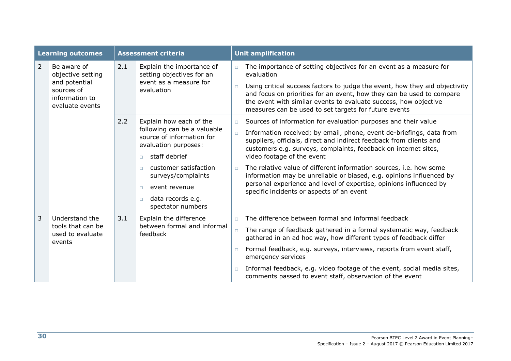| <b>Learning outcomes</b> |                                                                                                      | <b>Assessment criteria</b> |                                                                                                                                                                                                                                                                                | <b>Unit amplification</b>            |                                                                                                                                                                                                                                                                                                                                                                                                                                                                                                                                                                                                                                          |  |  |
|--------------------------|------------------------------------------------------------------------------------------------------|----------------------------|--------------------------------------------------------------------------------------------------------------------------------------------------------------------------------------------------------------------------------------------------------------------------------|--------------------------------------|------------------------------------------------------------------------------------------------------------------------------------------------------------------------------------------------------------------------------------------------------------------------------------------------------------------------------------------------------------------------------------------------------------------------------------------------------------------------------------------------------------------------------------------------------------------------------------------------------------------------------------------|--|--|
| $\overline{2}$           | Be aware of<br>objective setting<br>and potential<br>sources of<br>information to<br>evaluate events | 2.1                        | Explain the importance of<br>setting objectives for an<br>event as a measure for<br>evaluation                                                                                                                                                                                 | $\Box$<br>$\Box$                     | The importance of setting objectives for an event as a measure for<br>evaluation<br>Using critical success factors to judge the event, how they aid objectivity<br>and focus on priorities for an event, how they can be used to compare<br>the event with similar events to evaluate success, how objective                                                                                                                                                                                                                                                                                                                             |  |  |
|                          |                                                                                                      | 2.2                        | Explain how each of the<br>following can be a valuable<br>source of information for<br>evaluation purposes:<br>staff debrief<br>$\Box$<br>customer satisfaction<br>$\Box$<br>surveys/complaints<br>event revenue<br>$\Box$<br>data records e.g.<br>$\Box$<br>spectator numbers | $\Box$<br>$\Box$<br>$\Box$           | measures can be used to set targets for future events<br>Sources of information for evaluation purposes and their value<br>Information received; by email, phone, event de-briefings, data from<br>suppliers, officials, direct and indirect feedback from clients and<br>customers e.g. surveys, complaints, feedback on internet sites,<br>video footage of the event<br>The relative value of different information sources, i.e. how some<br>information may be unreliable or biased, e.g. opinions influenced by<br>personal experience and level of expertise, opinions influenced by<br>specific incidents or aspects of an event |  |  |
| 3                        | Understand the<br>tools that can be<br>used to evaluate<br>events                                    | 3.1                        | Explain the difference<br>between formal and informal<br>feedback                                                                                                                                                                                                              | $\Box$<br>$\Box$<br>$\Box$<br>$\Box$ | The difference between formal and informal feedback<br>The range of feedback gathered in a formal systematic way, feedback<br>gathered in an ad hoc way, how different types of feedback differ<br>Formal feedback, e.g. surveys, interviews, reports from event staff,<br>emergency services<br>Informal feedback, e.g. video footage of the event, social media sites,<br>comments passed to event staff, observation of the event                                                                                                                                                                                                     |  |  |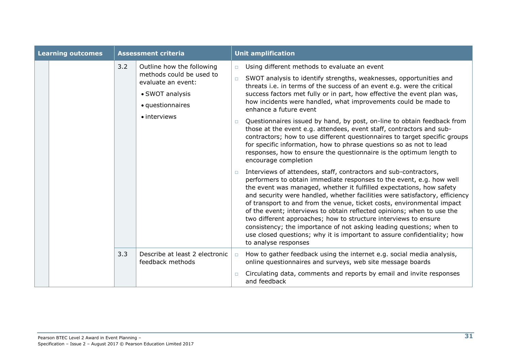| <b>Learning outcomes</b> |                                                                           | <b>Assessment criteria</b> |                                                       |                                                                                                                                                                                                                                                                                                                       | <b>Unit amplification</b>                                                                                                                                                                                                                                                                                                                                                                                                                                                                                                                                                                                                                                                                                                                                                                                                                                                                                                                                                                                                                                                                                                                                |  |  |
|--------------------------|---------------------------------------------------------------------------|----------------------------|-------------------------------------------------------|-----------------------------------------------------------------------------------------------------------------------------------------------------------------------------------------------------------------------------------------------------------------------------------------------------------------------|----------------------------------------------------------------------------------------------------------------------------------------------------------------------------------------------------------------------------------------------------------------------------------------------------------------------------------------------------------------------------------------------------------------------------------------------------------------------------------------------------------------------------------------------------------------------------------------------------------------------------------------------------------------------------------------------------------------------------------------------------------------------------------------------------------------------------------------------------------------------------------------------------------------------------------------------------------------------------------------------------------------------------------------------------------------------------------------------------------------------------------------------------------|--|--|
|                          | evaluate an event:<br>• SWOT analysis<br>• questionnaires<br>• interviews | 3.2                        | Outline how the following<br>methods could be used to | $\Box$<br>$\Box$<br>$\Box$                                                                                                                                                                                                                                                                                            | Using different methods to evaluate an event<br>SWOT analysis to identify strengths, weaknesses, opportunities and<br>threats i.e. in terms of the success of an event e.g. were the critical<br>success factors met fully or in part, how effective the event plan was,<br>how incidents were handled, what improvements could be made to<br>enhance a future event<br>Questionnaires issued by hand, by post, on-line to obtain feedback from<br>those at the event e.g. attendees, event staff, contractors and sub-<br>contractors; how to use different questionnaires to target specific groups<br>for specific information, how to phrase questions so as not to lead<br>responses, how to ensure the questionnaire is the optimum length to<br>encourage completion<br>Interviews of attendees, staff, contractors and sub-contractors,<br>performers to obtain immediate responses to the event, e.g. how well<br>the event was managed, whether it fulfilled expectations, how safety<br>and security were handled, whether facilities were satisfactory, efficiency<br>of transport to and from the venue, ticket costs, environmental impact |  |  |
|                          |                                                                           |                            |                                                       | of the event; interviews to obtain reflected opinions; when to use the<br>two different approaches; how to structure interviews to ensure<br>consistency; the importance of not asking leading questions; when to<br>use closed questions; why it is important to assure confidentiality; how<br>to analyse responses |                                                                                                                                                                                                                                                                                                                                                                                                                                                                                                                                                                                                                                                                                                                                                                                                                                                                                                                                                                                                                                                                                                                                                          |  |  |
|                          |                                                                           | 3.3                        | Describe at least 2 electronic<br>feedback methods    | $\Box$                                                                                                                                                                                                                                                                                                                | How to gather feedback using the internet e.g. social media analysis,<br>online questionnaires and surveys, web site message boards                                                                                                                                                                                                                                                                                                                                                                                                                                                                                                                                                                                                                                                                                                                                                                                                                                                                                                                                                                                                                      |  |  |
|                          |                                                                           |                            |                                                       |                                                                                                                                                                                                                                                                                                                       | Circulating data, comments and reports by email and invite responses<br>and feedback                                                                                                                                                                                                                                                                                                                                                                                                                                                                                                                                                                                                                                                                                                                                                                                                                                                                                                                                                                                                                                                                     |  |  |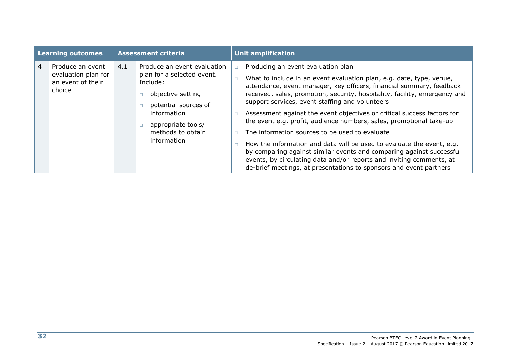| <b>Learning outcomes</b> |                                                                        | <b>Assessment criteria</b> |                                                                                                                                                                                                       | <b>Unit amplification</b> |                                                                                                                                                                                                                                                                                                                                                                                                                                                                                                                                                                                                                                                                                                                                                                                                                        |  |
|--------------------------|------------------------------------------------------------------------|----------------------------|-------------------------------------------------------------------------------------------------------------------------------------------------------------------------------------------------------|---------------------------|------------------------------------------------------------------------------------------------------------------------------------------------------------------------------------------------------------------------------------------------------------------------------------------------------------------------------------------------------------------------------------------------------------------------------------------------------------------------------------------------------------------------------------------------------------------------------------------------------------------------------------------------------------------------------------------------------------------------------------------------------------------------------------------------------------------------|--|
| 4                        | Produce an event<br>evaluation plan for<br>an event of their<br>choice | 4.1                        | Produce an event evaluation<br>plan for a selected event.<br>Include:<br>objective setting<br>potential sources of<br>information<br>appropriate tools/<br>$\Box$<br>methods to obtain<br>information | $\Box$                    | Producing an event evaluation plan<br>What to include in an event evaluation plan, e.g. date, type, venue,<br>attendance, event manager, key officers, financial summary, feedback<br>received, sales, promotion, security, hospitality, facility, emergency and<br>support services, event staffing and volunteers<br>Assessment against the event objectives or critical success factors for<br>the event e.g. profit, audience numbers, sales, promotional take-up<br>The information sources to be used to evaluate<br>How the information and data will be used to evaluate the event, e.g.<br>by comparing against similar events and comparing against successful<br>events, by circulating data and/or reports and inviting comments, at<br>de-brief meetings, at presentations to sponsors and event partners |  |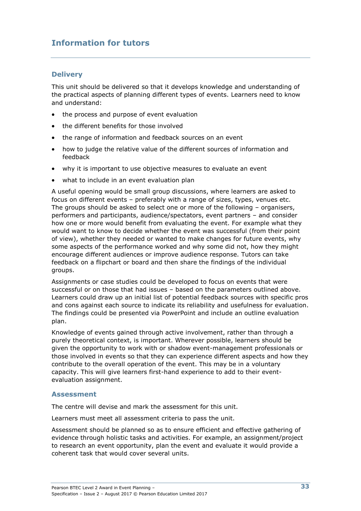### **Information for tutors**

#### **Delivery**

This unit should be delivered so that it develops knowledge and understanding of the practical aspects of planning different types of events. Learners need to know and understand:

- the process and purpose of event evaluation
- the different benefits for those involved
- the range of information and feedback sources on an event
- how to judge the relative value of the different sources of information and feedback
- why it is important to use objective measures to evaluate an event
- what to include in an event evaluation plan

A useful opening would be small group discussions, where learners are asked to focus on different events – preferably with a range of sizes, types, venues etc. The groups should be asked to select one or more of the following – organisers, performers and participants, audience/spectators, event partners – and consider how one or more would benefit from evaluating the event. For example what they would want to know to decide whether the event was successful (from their point of view), whether they needed or wanted to make changes for future events, why some aspects of the performance worked and why some did not, how they might encourage different audiences or improve audience response. Tutors can take feedback on a flipchart or board and then share the findings of the individual groups.

Assignments or case studies could be developed to focus on events that were successful or on those that had issues – based on the parameters outlined above. Learners could draw up an initial list of potential feedback sources with specific pros and cons against each source to indicate its reliability and usefulness for evaluation. The findings could be presented via PowerPoint and include an outline evaluation plan.

Knowledge of events gained through active involvement, rather than through a purely theoretical context, is important. Wherever possible, learners should be given the opportunity to work with or shadow event-management professionals or those involved in events so that they can experience different aspects and how they contribute to the overall operation of the event. This may be in a voluntary capacity. This will give learners first-hand experience to add to their eventevaluation assignment.

#### **Assessment**

The centre will devise and mark the assessment for this unit.

Learners must meet all assessment criteria to pass the unit.

Assessment should be planned so as to ensure efficient and effective gathering of evidence through holistic tasks and activities. For example, an assignment/project to research an event opportunity, plan the event and evaluate it would provide a coherent task that would cover several units.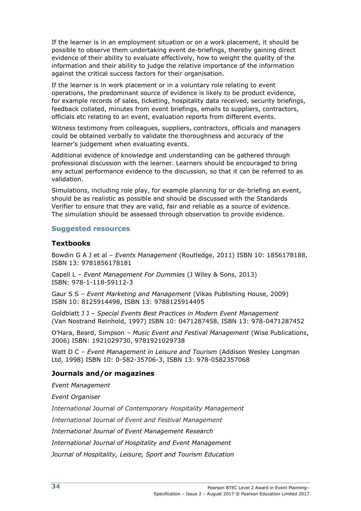If the learner is in an employment situation or on a work placement, it should be possible to observe them undertaking event de-briefings, thereby gaining direct evidence of their ability to evaluate effectively, how to weight the quality of the information and their ability to judge the relative importance of the information against the critical success factors for their organisation.

If the learner is in work placement or in a voluntary role relating to event operations, the predominant source of evidence is likely to be product evidence, for example records of sales, ticketing, hospitality data received, security briefings, feedback collated, minutes from event briefings, emails to suppliers, contractors, officials etc relating to an event, evaluation reports from different events.

Witness testimony from colleagues, suppliers, contractors, officials and managers could be obtained verbally to validate the thoroughness and accuracy of the learner's judgement when evaluating events.

Additional evidence of knowledge and understanding can be gathered through professional discussion with the learner. Learners should be encouraged to bring any actual performance evidence to the discussion, so that it can be referred to as validation.

Simulations, including role play, for example planning for or de-briefing an event, should be as realistic as possible and should be discussed with the Standards Verifier to ensure that they are valid, fair and reliable as a source of evidence. The simulation should be assessed through observation to provide evidence.

#### **Suggested resources**

#### **Textbooks**

Bowdin G A J et al – *Events Management* (Routledge, 2011) ISBN 10: 1856178188, ISBN 13: 9781856178181

Capell L – *Event Management For Dummies* (J Wiley & Sons, 2013) ISBN: 978-1-118-59112-3

Gaur S S – *Event Marketing and Management* (Vikas Publishing House, 2009) ISBN 10: 8125914498, ISBN 13: 9788125914495

Goldblatt J J – *Special Events Best Practices in Modern Event Management*  (Van Nostrand Reinhold, 1997) ISBN 10: 0471287458, ISBN 13: 978-0471287452

O'Hara, Beard, Simpson – *Music Event and Festival Management* (Wise Publications, 2006) ISBN: 1921029730, 9781921029738

Watt D C – *Event Management in Leisure and Tourism* (Addison Wesley Longman Ltd, 1998) ISBN 10: 0-582-35706-3, ISBN 13: 978-0582357068

#### **Journals and/or magazines**

*Event Management*

*Event Organiser*

*International* Journal *of Contemporary Hospitality Management*

*International* Journal *of Event and Festival Management*

*International Journal of Event Management Research*

*International Journal of Hospitality and Event Management*

*Journal of Hospitality, Leisure, Sport and Tourism Education*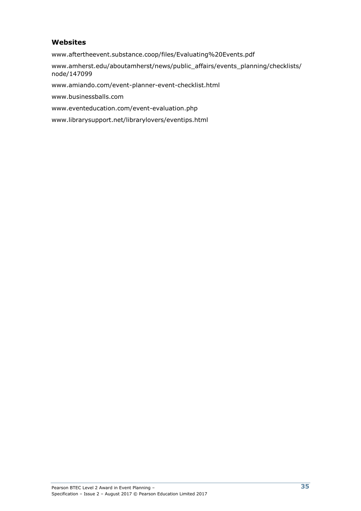#### **Websites**

[www.aftertheevent.substance.coop/files/Evaluating%20Events.pdf](http://www.aftertheevent.substance.coop/files/Evaluating%20Events.pdf)

[www.amherst.edu/aboutamherst/news/public\\_affairs/events\\_planning/checklists/](http://www.amherst.edu/aboutamherst/news/public_affairs/events_planning/checklists/node/147099) [node/147099](http://www.amherst.edu/aboutamherst/news/public_affairs/events_planning/checklists/node/147099)

[www.amiando.com/event-planner-event-checklist.html](http://www.amiando.com/event-planner-event-checklist.html)

[www.businessballs.com](http://www.businessballs.com/)

[www.eventeducation.com/event-evaluation.php](http://www.eventeducation.com/event-evaluation.php)

[www.librarysupport.net/librarylovers/eventips.html](http://www.librarysupport.net/librarylovers/eventips.html)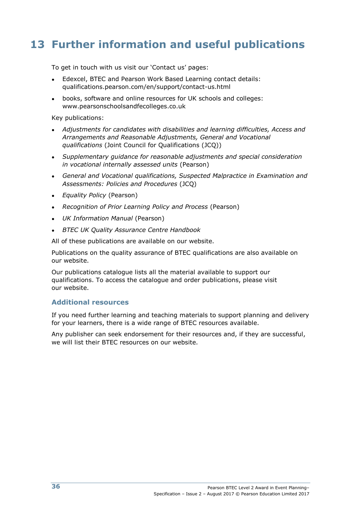# **13 Further information and useful publications**

To get in touch with us visit our 'Contact us' pages:

- Edexcel, BTEC and Pearson Work Based Learning contact details: qualifications.pearson.com/en/support/contact-us.html
- books, software and online resources for UK schools and colleges: www.pearsonschoolsandfecolleges.co.uk

Key publications:

- *Adjustments for candidates with disabilities and learning difficulties, Access and Arrangements and Reasonable Adjustments, General and Vocational qualifications* (Joint Council for Qualifications (JCQ))
- *Supplementary guidance for reasonable adjustments and special consideration in vocational internally assessed units* (Pearson)
- *General and Vocational qualifications, Suspected Malpractice in Examination and Assessments: Policies and Procedures* (JCQ)
- *Equality Policy* (Pearson)
- *Recognition of Prior Learning Policy and Process* (Pearson)
- *UK Information Manual* (Pearson)
- *BTEC UK Quality Assurance Centre Handbook*

All of these publications are available on our website.

Publications on the quality assurance of BTEC qualifications are also available on our website.

Our publications catalogue lists all the material available to support our qualifications. To access the catalogue and order publications, please visit our website.

#### **Additional resources**

If you need further learning and teaching materials to support planning and delivery for your learners, there is a wide range of BTEC resources available.

Any publisher can seek endorsement for their resources and, if they are successful, we will list their BTEC resources on our website.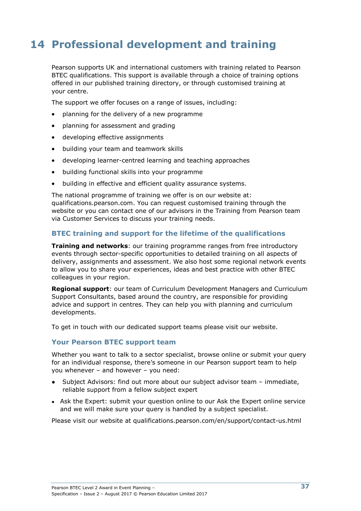# **14 Professional development and training**

Pearson supports UK and international customers with training related to Pearson BTEC qualifications. This support is available through a choice of training options offered in our published training directory, or through customised training at your centre.

The support we offer focuses on a range of issues, including:

- planning for the delivery of a new programme
- planning for assessment and grading
- developing effective assignments
- building your team and teamwork skills
- developing learner-centred learning and teaching approaches
- building functional skills into your programme
- building in effective and efficient quality assurance systems.

The national programme of training we offer is on our website at: [qualifications.pearson.com.](http://www.edexcel.com/resources/training/Pages/home.aspx) You can request customised training through the website or you can contact one of our advisors in the Training from Pearson team via Customer Services to discuss your training needs.

#### **BTEC training and support for the lifetime of the qualifications**

**Training and networks**: our training programme ranges from free introductory events through sector-specific opportunities to detailed training on all aspects of delivery, assignments and assessment. We also host some regional network events to allow you to share your experiences, ideas and best practice with other BTEC colleagues in your region.

**Regional support**: our team of Curriculum Development Managers and Curriculum Support Consultants, based around the country, are responsible for providing advice and support in centres. They can help you with planning and curriculum developments.

To get in touch with our dedicated support teams please visit our website.

#### **Your Pearson BTEC support team**

Whether you want to talk to a sector specialist, browse online or submit your query for an individual response, there's someone in our Pearson support team to help you whenever – and however – you need:

- Subject Advisors: find out more about our subject advisor team immediate, reliable support from a fellow subject expert
- Ask the Expert: submit your question online to our Ask the Expert online service and we will make sure your query is handled by a subject specialist.

Please visit our website at qualifications.pearson.com/en/support/contact-us.html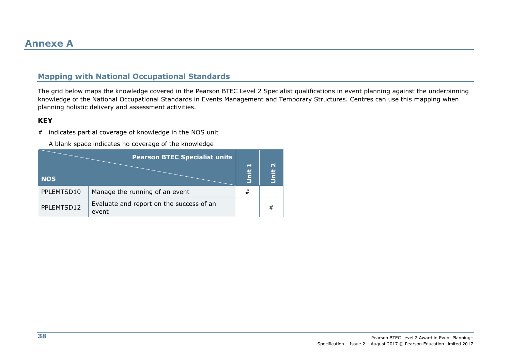### **Mapping with National Occupational Standards**

The grid below maps the knowledge covered in the Pearson BTEC Level 2 Specialist qualifications in event planning against the underpinning knowledge of the National Occupational Standards in Events Management and Temporary Structures. Centres can use this mapping when planning holistic delivery and assessment activities.

#### **KEY**

# indicates partial coverage of knowledge in the NOS unit

A blank space indicates no coverage of the knowledge

| <b>NOS</b> | <b>Pearson BTEC Specialist units</b>              | $\blacksquare$<br><b>Jnit</b> | $\mathbf{\mathsf{N}}$<br>lnit |
|------------|---------------------------------------------------|-------------------------------|-------------------------------|
| PPLEMTSD10 | Manage the running of an event                    | #                             |                               |
| PPLEMTSD12 | Evaluate and report on the success of an<br>event |                               | #                             |